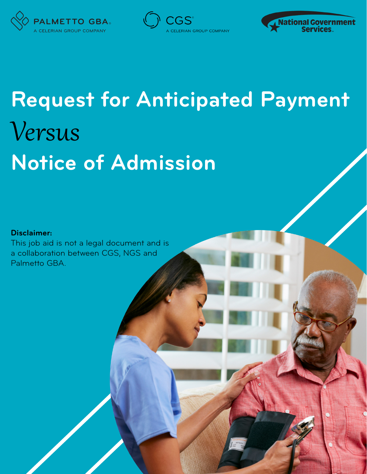





# **Request for Anticipated Payment Notice of Admission** Versus

## **Disclaimer:**

This job aid is not a legal document and is a collaboration between CGS, NGS and Palmetto GBA.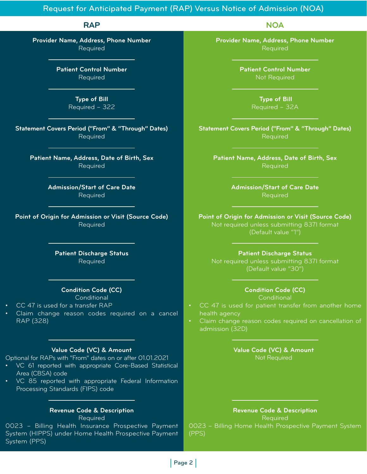# Request for Anticipated Payment (RAP) Versus Notice of Admission (NOA)

**RAP**

**Provider Name, Address, Phone Number** Required

> **Patient Control Number** Required

> > **Type of Bill** Required – 322

**Statement Covers Period ("From" & "Through" Dates)** Required

**Patient Name, Address, Date of Birth, Sex** Required

> **Admission/Start of Care Date** Required

**Point of Origin for Admission or Visit (Source Code)** Required

> **Patient Discharge Status** Required

### **Condition Code (CC)**

**Conditional** 

- CC 47 is used for a transfer RAP
- Claim change reason codes required on a cancel RAP (328)

### **Value Code (VC) & Amount**

Optional for RAPs with "From" dates on or after 01.01.2021

- VC 61 reported with appropriate Core-Based Statistical Area (CBSA) code
- VC 85 reported with appropriate Federal Information Processing Standards (FIPS) code

#### **Revenue Code & Description** Required

0023 – Billing Health Insurance Prospective Payment System (HIPPS) under Home Health Prospective Payment System (PPS)

**Provider Name, Address, Phone Number** Required

**NOA**

**Patient Control Number** Not Required

> **Type of Bill** Required – 32A

**Statement Covers Period ("From" & "Through" Dates)** Required

**Patient Name, Address, Date of Birth, Sex Required** 

> **Admission/Start of Care Date** Required

**Point of Origin for Admission or Visit (Source Code)** Not required unless submitting 837I format (Default value "1")

### **Patient Discharge Status**

Not required unless submitting 837I format (Default value "30")

## **Condition Code (CC)**

**Conditional** 

- CC 47 is used for patient transfer from another home health agency
- Claim change reason codes required on cancellation of admission (32D)

**Value Code (VC) & Amount** Not Required

**Revenue Code & Description** Required 0023 – Billing Home Health Prospective Payment System (PPS)